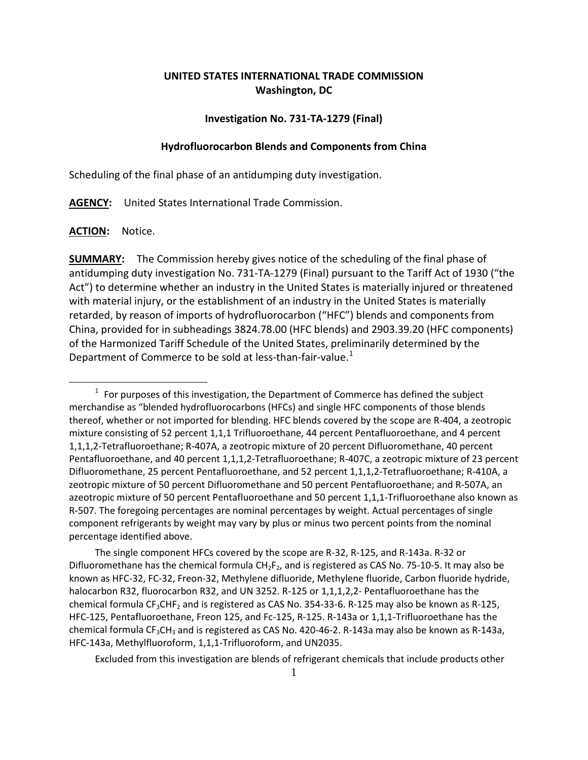# **UNITED STATES INTERNATIONAL TRADE COMMISSION Washington, DC**

### **Investigation No. 731-TA-1279 (Final)**

### **Hydrofluorocarbon Blends and Components from China**

Scheduling of the final phase of an antidumping duty investigation.

**AGENCY:** United States International Trade Commission.

**ACTION:** Notice.

 $\overline{a}$ 

**SUMMARY:** The Commission hereby gives notice of the scheduling of the final phase of antidumping duty investigation No. 731-TA-1279 (Final) pursuant to the Tariff Act of 1930 ("the Act") to determine whether an industry in the United States is materially injured or threatened with material injury, or the establishment of an industry in the United States is materially retarded, by reason of imports of hydrofluorocarbon ("HFC") blends and components from China, provided for in subheadings 3824.78.00 (HFC blends) and 2903.39.20 (HFC components) of the Harmonized Tariff Schedule of the United States, preliminarily determined by the Department of Commerce to be sold at less-than-fair-value.<sup>[1](#page-0-0)</sup>

The single component HFCs covered by the scope are R-32, R-125, and R-143a. R-32 or Difluoromethane has the chemical formula  $CH_2F_2$ , and is registered as CAS No. 75-10-5. It may also be known as HFC-32, FC-32, Freon-32, Methylene difluoride, Methylene fluoride, Carbon fluoride hydride, halocarbon R32, fluorocarbon R32, and UN 3252. R-125 or 1,1,1,2,2- Pentafluoroethane has the chemical formula CF<sub>3</sub>CHF<sub>2</sub> and is registered as CAS No. 354-33-6. R-125 may also be known as R-125, HFC-125, Pentafluoroethane, Freon 125, and Fc-125, R-125. R-143a or 1,1,1-Trifluoroethane has the chemical formula CF<sub>3</sub>CH<sub>3</sub> and is registered as CAS No. 420-46-2. R-143a may also be known as R-143a, HFC-143a, Methylfluoroform, 1,1,1-Trifluoroform, and UN2035.

Excluded from this investigation are blends of refrigerant chemicals that include products other

<span id="page-0-0"></span> $1$  For purposes of this investigation, the Department of Commerce has defined the subject merchandise as "blended hydrofluorocarbons (HFCs) and single HFC components of those blends thereof, whether or not imported for blending. HFC blends covered by the scope are R-404, a zeotropic mixture consisting of 52 percent 1,1,1 Trifluoroethane, 44 percent Pentafluoroethane, and 4 percent 1,1,1,2-Tetrafluoroethane; R-407A, a zeotropic mixture of 20 percent Difluoromethane, 40 percent Pentafluoroethane, and 40 percent 1,1,1,2-Tetrafluoroethane; R-407C, a zeotropic mixture of 23 percent Difluoromethane, 25 percent Pentafluoroethane, and 52 percent 1,1,1,2-Tetrafluoroethane; R-410A, a zeotropic mixture of 50 percent Difluoromethane and 50 percent Pentafluoroethane; and R-507A, an azeotropic mixture of 50 percent Pentafluoroethane and 50 percent 1,1,1-Trifluoroethane also known as R-507. The foregoing percentages are nominal percentages by weight. Actual percentages of single component refrigerants by weight may vary by plus or minus two percent points from the nominal percentage identified above.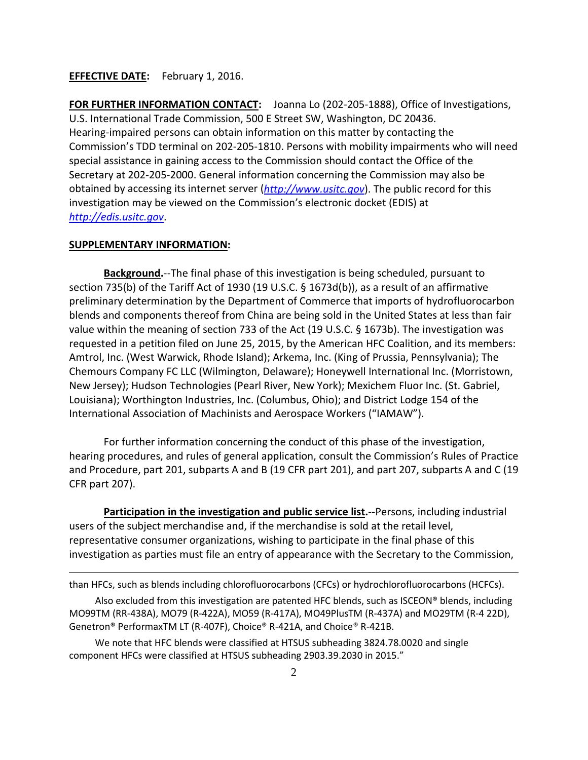## **EFFECTIVE DATE:** February 1, 2016.

**FOR FURTHER INFORMATION CONTACT:** Joanna Lo (202-205-1888), Office of Investigations, U.S. International Trade Commission, 500 E Street SW, Washington, DC 20436. Hearing-impaired persons can obtain information on this matter by contacting the Commission's TDD terminal on 202-205-1810. Persons with mobility impairments who will need special assistance in gaining access to the Commission should contact the Office of the Secretary at 202-205-2000. General information concerning the Commission may also be obtained by accessing its internet server (*[http://www.usitc.gov](http://www.usitc.gov/)*). The public record for this investigation may be viewed on the Commission's electronic docket (EDIS) at *[http://edis.usitc.gov](http://edis.usitc.gov/)*.

#### **SUPPLEMENTARY INFORMATION:**

 $\overline{a}$ 

**Background.**--The final phase of this investigation is being scheduled, pursuant to section 735(b) of the Tariff Act of 1930 (19 U.S.C. § 1673d(b)), as a result of an affirmative preliminary determination by the Department of Commerce that imports of hydrofluorocarbon blends and components thereof from China are being sold in the United States at less than fair value within the meaning of section 733 of the Act (19 U.S.C. § 1673b). The investigation was requested in a petition filed on June 25, 2015, by the American HFC Coalition, and its members: Amtrol, Inc. (West Warwick, Rhode Island); Arkema, Inc. (King of Prussia, Pennsylvania); The Chemours Company FC LLC (Wilmington, Delaware); Honeywell International Inc. (Morristown, New Jersey); Hudson Technologies (Pearl River, New York); Mexichem Fluor Inc. (St. Gabriel, Louisiana); Worthington Industries, Inc. (Columbus, Ohio); and District Lodge 154 of the International Association of Machinists and Aerospace Workers ("IAMAW").

For further information concerning the conduct of this phase of the investigation, hearing procedures, and rules of general application, consult the Commission's Rules of Practice and Procedure, part 201, subparts A and B (19 CFR part 201), and part 207, subparts A and C (19 CFR part 207).

**Participation in the investigation and public service list.**--Persons, including industrial users of the subject merchandise and, if the merchandise is sold at the retail level, representative consumer organizations, wishing to participate in the final phase of this investigation as parties must file an entry of appearance with the Secretary to the Commission,

than HFCs, such as blends including chlorofluorocarbons (CFCs) or hydrochlorofluorocarbons (HCFCs).

Also excluded from this investigation are patented HFC blends, such as ISCEON® blends, including MO99TM (RR-438A), MO79 (R-422A), MO59 (R-417A), MO49PlusTM (R-437A) and MO29TM (R-4 22D), Genetron® PerformaxTM LT (R-407F), Choice® R-421A, and Choice® R-421B.

We note that HFC blends were classified at HTSUS subheading 3824.78.0020 and single component HFCs were classified at HTSUS subheading 2903.39.2030 in 2015."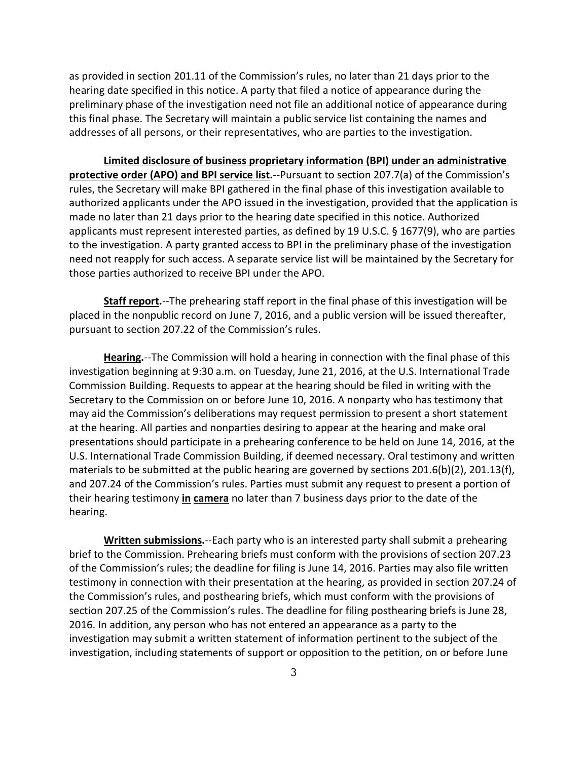as provided in section 201.11 of the Commission's rules, no later than 21 days prior to the hearing date specified in this notice. A party that filed a notice of appearance during the preliminary phase of the investigation need not file an additional notice of appearance during this final phase. The Secretary will maintain a public service list containing the names and addresses of all persons, or their representatives, who are parties to the investigation.

**Limited disclosure of business proprietary information (BPI) under an administrative protective order (APO) and BPI service list.**--Pursuant to section 207.7(a) of the Commission's rules, the Secretary will make BPI gathered in the final phase of this investigation available to authorized applicants under the APO issued in the investigation, provided that the application is made no later than 21 days prior to the hearing date specified in this notice. Authorized applicants must represent interested parties, as defined by 19 U.S.C. § 1677(9), who are parties to the investigation. A party granted access to BPI in the preliminary phase of the investigation need not reapply for such access. A separate service list will be maintained by the Secretary for those parties authorized to receive BPI under the APO.

**Staff report.**--The prehearing staff report in the final phase of this investigation will be placed in the nonpublic record on June 7, 2016, and a public version will be issued thereafter, pursuant to section 207.22 of the Commission's rules.

**Hearing.**--The Commission will hold a hearing in connection with the final phase of this investigation beginning at 9:30 a.m. on Tuesday, June 21, 2016, at the U.S. International Trade Commission Building. Requests to appear at the hearing should be filed in writing with the Secretary to the Commission on or before June 10, 2016. A nonparty who has testimony that may aid the Commission's deliberations may request permission to present a short statement at the hearing. All parties and nonparties desiring to appear at the hearing and make oral presentations should participate in a prehearing conference to be held on June 14, 2016, at the U.S. International Trade Commission Building, if deemed necessary. Oral testimony and written materials to be submitted at the public hearing are governed by sections 201.6(b)(2), 201.13(f), and 207.24 of the Commission's rules. Parties must submit any request to present a portion of their hearing testimony **in camera** no later than 7 business days prior to the date of the hearing.

**Written submissions.**--Each party who is an interested party shall submit a prehearing brief to the Commission. Prehearing briefs must conform with the provisions of section 207.23 of the Commission's rules; the deadline for filing is June 14, 2016. Parties may also file written testimony in connection with their presentation at the hearing, as provided in section 207.24 of the Commission's rules, and posthearing briefs, which must conform with the provisions of section 207.25 of the Commission's rules. The deadline for filing posthearing briefs is June 28, 2016. In addition, any person who has not entered an appearance as a party to the investigation may submit a written statement of information pertinent to the subject of the investigation, including statements of support or opposition to the petition, on or before June